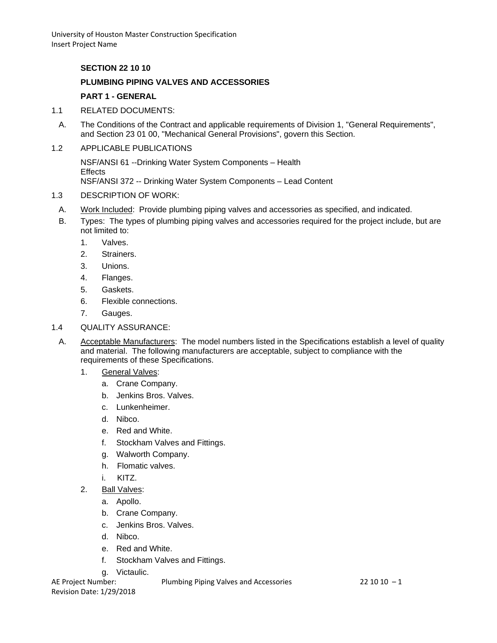### **SECTION 22 10 10**

## **PLUMBING PIPING VALVES AND ACCESSORIES**

# **PART 1 - GENERAL**

- 1.1 RELATED DOCUMENTS:
- A. The Conditions of the Contract and applicable requirements of Division 1, "General Requirements", and Section 23 01 00, "Mechanical General Provisions", govern this Section.
- 1.2 APPLICABLE PUBLICATIONS

NSF/ANSI 61 --Drinking Water System Components – Health **Effects** NSF/ANSI 372 -- Drinking Water System Components – Lead Content

- 1.3 DESCRIPTION OF WORK:
- A. Work Included: Provide plumbing piping valves and accessories as specified, and indicated.
- B. Types: The types of plumbing piping valves and accessories required for the project include, but are not limited to:
	- 1. Valves.
	- 2. Strainers.
	- 3. Unions.
	- 4. Flanges.
	- 5. Gaskets.
	- 6. Flexible connections.
	- 7. Gauges.
- 1.4 QUALITY ASSURANCE:
	- A. Acceptable Manufacturers: The model numbers listed in the Specifications establish a level of quality and material. The following manufacturers are acceptable, subject to compliance with the requirements of these Specifications.
		- 1. General Valves:
			- a. Crane Company.
			- b. Jenkins Bros. Valves.
			- c. Lunkenheimer.
			- d. Nibco.
			- e. Red and White.
			- f. Stockham Valves and Fittings.
			- g. Walworth Company.
			- h. Flomatic valves.
			- i. KITZ.
		- 2. Ball Valves:
			- a. Apollo.
			- b. Crane Company.
			- c. Jenkins Bros. Valves.
			- d. Nibco.
			- e. Red and White.
			- f. Stockham Valves and Fittings.
			- g. Victaulic.

AE Project Number: Plumbing Piping Valves and Accessories 22 10 10 -1

Revision Date: 1/29/2018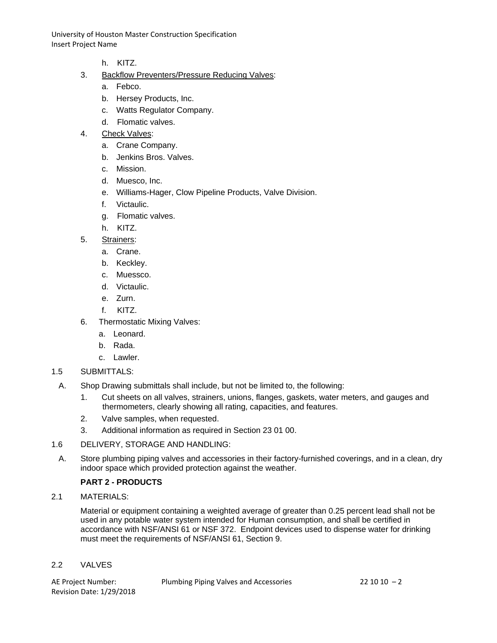- h. KITZ.
- 3. Backflow Preventers/Pressure Reducing Valves:
	- a. Febco.
	- b. Hersey Products, Inc.
	- c. Watts Regulator Company.
	- d. Flomatic valves.
- 4. Check Valves:
	- a. Crane Company.
	- b. Jenkins Bros. Valves.
	- c. Mission.
	- d. Muesco, Inc.
	- e. Williams-Hager, Clow Pipeline Products, Valve Division.
	- f. Victaulic.
	- g. Flomatic valves.
	- h. KITZ.
- 5. Strainers:
	- a. Crane.
	- b. Keckley.
	- c. Muessco.
	- d. Victaulic.
	- e. Zurn.
	- f. KITZ.
- 6. Thermostatic Mixing Valves:
	- a. Leonard.
	- b. Rada.
	- c. Lawler.

### 1.5 SUBMITTALS:

- A. Shop Drawing submittals shall include, but not be limited to, the following:
	- 1. Cut sheets on all valves, strainers, unions, flanges, gaskets, water meters, and gauges and thermometers, clearly showing all rating, capacities, and features.
	- 2. Valve samples, when requested.
	- 3. Additional information as required in Section 23 01 00.

### 1.6 DELIVERY, STORAGE AND HANDLING:

A. Store plumbing piping valves and accessories in their factory-furnished coverings, and in a clean, dry indoor space which provided protection against the weather.

# **PART 2 - PRODUCTS**

2.1 MATERIALS:

Material or equipment containing a weighted average of greater than 0.25 percent lead shall not be used in any potable water system intended for Human consumption, and shall be certified in accordance with NSF/ANSI 61 or NSF 372. Endpoint devices used to dispense water for drinking must meet the requirements of NSF/ANSI 61, Section 9.

### 2.2 VALVES

Revision Date: 1/29/2018

AE Project Number: Plumbing Piping Valves and Accessories 22 10 10 – 2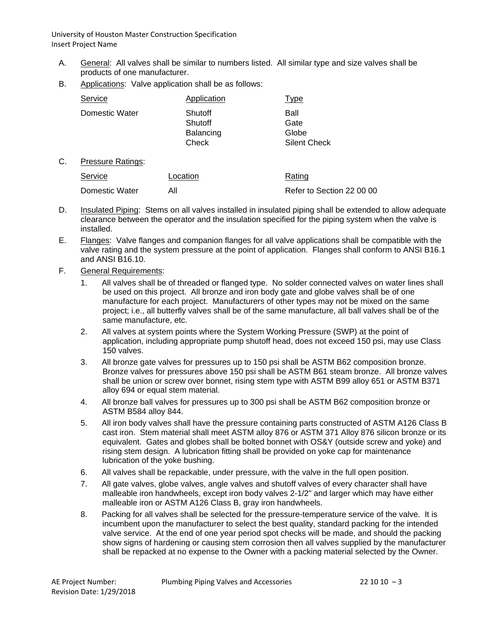- A. General: All valves shall be similar to numbers listed. All similar type and size valves shall be products of one manufacturer.
- B. Applications: Valve application shall be as follows:

| Service        | Application                              | Type                                         |
|----------------|------------------------------------------|----------------------------------------------|
| Domestic Water | Shutoff<br>Shutoff<br>Balancing<br>Check | Ball<br>Gate<br>Globe<br><b>Silent Check</b> |

C. Pressure Ratings:

| Service        | Location | Rating                    |
|----------------|----------|---------------------------|
| Domestic Water |          | Refer to Section 22 00 00 |

- D. Insulated Piping: Stems on all valves installed in insulated piping shall be extended to allow adequate clearance between the operator and the insulation specified for the piping system when the valve is installed.
- E. Flanges: Valve flanges and companion flanges for all valve applications shall be compatible with the valve rating and the system pressure at the point of application. Flanges shall conform to ANSI B16.1 and ANSI B16.10.
- F. General Requirements:
	- 1. All valves shall be of threaded or flanged type. No solder connected valves on water lines shall be used on this project. All bronze and iron body gate and globe valves shall be of one manufacture for each project. Manufacturers of other types may not be mixed on the same project; i.e., all butterfly valves shall be of the same manufacture, all ball valves shall be of the same manufacture, etc.
	- 2. All valves at system points where the System Working Pressure (SWP) at the point of application, including appropriate pump shutoff head, does not exceed 150 psi, may use Class 150 valves.
	- 3. All bronze gate valves for pressures up to 150 psi shall be ASTM B62 composition bronze. Bronze valves for pressures above 150 psi shall be ASTM B61 steam bronze. All bronze valves shall be union or screw over bonnet, rising stem type with ASTM B99 alloy 651 or ASTM B371 alloy 694 or equal stem material.
	- 4. All bronze ball valves for pressures up to 300 psi shall be ASTM B62 composition bronze or ASTM B584 alloy 844.
	- 5. All iron body valves shall have the pressure containing parts constructed of ASTM A126 Class B cast iron. Stem material shall meet ASTM alloy 876 or ASTM 371 Alloy 876 silicon bronze or its equivalent. Gates and globes shall be bolted bonnet with OS&Y (outside screw and yoke) and rising stem design. A lubrication fitting shall be provided on yoke cap for maintenance lubrication of the yoke bushing.
	- 6. All valves shall be repackable, under pressure, with the valve in the full open position.
	- 7. All gate valves, globe valves, angle valves and shutoff valves of every character shall have malleable iron handwheels, except iron body valves 2-1/2" and larger which may have either malleable iron or ASTM A126 Class B, gray iron handwheels.
	- 8. Packing for all valves shall be selected for the pressure-temperature service of the valve. It is incumbent upon the manufacturer to select the best quality, standard packing for the intended valve service. At the end of one year period spot checks will be made, and should the packing show signs of hardening or causing stem corrosion then all valves supplied by the manufacturer shall be repacked at no expense to the Owner with a packing material selected by the Owner.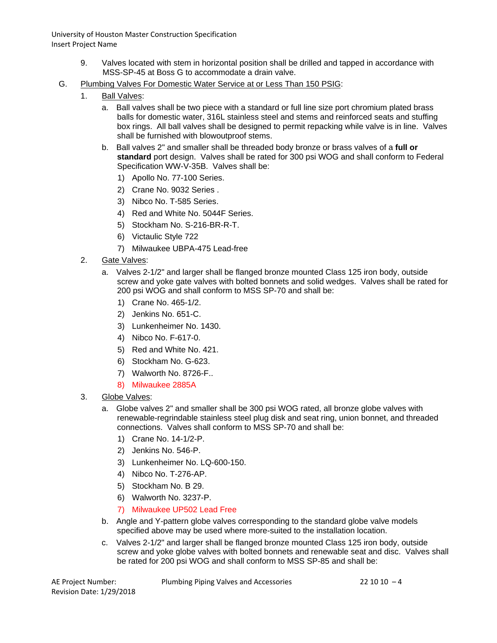- 9. Valves located with stem in horizontal position shall be drilled and tapped in accordance with MSS-SP-45 at Boss G to accommodate a drain valve.
- G. Plumbing Valves For Domestic Water Service at or Less Than 150 PSIG:
	- 1. Ball Valves:
		- a. Ball valves shall be two piece with a standard or full line size port chromium plated brass balls for domestic water, 316L stainless steel and stems and reinforced seats and stuffing box rings. All ball valves shall be designed to permit repacking while valve is in line. Valves shall be furnished with blowoutproof stems.
		- b. Ball valves 2" and smaller shall be threaded body bronze or brass valves of a **full or standard** port design. Valves shall be rated for 300 psi WOG and shall conform to Federal Specification WW-V-35B. Valves shall be:
			- 1) Apollo No. 77-100 Series.
			- 2) Crane No. 9032 Series .
			- 3) Nibco No. T-585 Series.
			- 4) Red and White No. 5044F Series.
			- 5) Stockham No. S-216-BR-R-T.
			- 6) Victaulic Style 722
			- 7) Milwaukee UBPA-475 Lead-free
	- 2. Gate Valves:
		- a. Valves 2-1/2" and larger shall be flanged bronze mounted Class 125 iron body, outside screw and yoke gate valves with bolted bonnets and solid wedges. Valves shall be rated for 200 psi WOG and shall conform to MSS SP-70 and shall be:
			- 1) Crane No. 465-1/2.
			- 2) Jenkins No. 651-C.
			- 3) Lunkenheimer No. 1430.
			- 4) Nibco No. F-617-0.
			- 5) Red and White No. 421.
			- 6) Stockham No. G-623.
			- 7) Walworth No. 8726-F..
			- 8) Milwaukee 2885A
	- 3. Globe Valves:
		- a. Globe valves 2" and smaller shall be 300 psi WOG rated, all bronze globe valves with renewable-regrindable stainless steel plug disk and seat ring, union bonnet, and threaded connections. Valves shall conform to MSS SP-70 and shall be:
			- 1) Crane No. 14-1/2-P.
			- 2) Jenkins No. 546-P.
			- 3) Lunkenheimer No. LQ-600-150.
			- 4) Nibco No. T-276-AP.
			- 5) Stockham No. B 29.
			- 6) Walworth No. 3237-P.
			- 7) Milwaukee UP502 Lead Free
		- b. Angle and Y-pattern globe valves corresponding to the standard globe valve models specified above may be used where more-suited to the installation location.
		- c. Valves 2-1/2" and larger shall be flanged bronze mounted Class 125 iron body, outside screw and yoke globe valves with bolted bonnets and renewable seat and disc. Valves shall be rated for 200 psi WOG and shall conform to MSS SP-85 and shall be:

AE Project Number: Plumbing Piping Valves and Accessories 22 10 10 – 4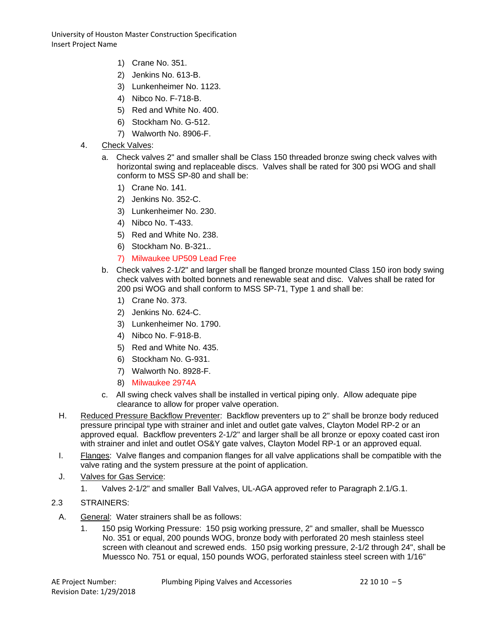- 1) Crane No. 351.
- 2) Jenkins No. 613-B.
- 3) Lunkenheimer No. 1123.
- 4) Nibco No. F-718-B.
- 5) Red and White No. 400.
- 6) Stockham No. G-512.
- 7) Walworth No. 8906-F.
- 4. Check Valves:
	- a. Check valves 2" and smaller shall be Class 150 threaded bronze swing check valves with horizontal swing and replaceable discs. Valves shall be rated for 300 psi WOG and shall conform to MSS SP-80 and shall be:
		- 1) Crane No. 141.
		- 2) Jenkins No. 352-C.
		- 3) Lunkenheimer No. 230.
		- 4) Nibco No. T-433.
		- 5) Red and White No. 238.
		- 6) Stockham No. B-321..
		- 7) Milwaukee UP509 Lead Free
	- b. Check valves 2-1/2" and larger shall be flanged bronze mounted Class 150 iron body swing check valves with bolted bonnets and renewable seat and disc. Valves shall be rated for 200 psi WOG and shall conform to MSS SP-71, Type 1 and shall be:
		- 1) Crane No. 373.
		- 2) Jenkins No. 624-C.
		- 3) Lunkenheimer No. 1790.
		- 4) Nibco No. F-918-B.
		- 5) Red and White No. 435.
		- 6) Stockham No. G-931.
		- 7) Walworth No. 8928-F.
		- 8) Milwaukee 2974A
	- c. All swing check valves shall be installed in vertical piping only. Allow adequate pipe clearance to allow for proper valve operation.
- H. Reduced Pressure Backflow Preventer: Backflow preventers up to 2" shall be bronze body reduced pressure principal type with strainer and inlet and outlet gate valves, Clayton Model RP-2 or an approved equal. Backflow preventers 2-1/2" and larger shall be all bronze or epoxy coated cast iron with strainer and inlet and outlet OS&Y gate valves, Clayton Model RP-1 or an approved equal.
- I. Flanges: Valve flanges and companion flanges for all valve applications shall be compatible with the valve rating and the system pressure at the point of application.
- J. Valves for Gas Service:
	- 1. Valves 2-1/2" and smaller Ball Valves, UL-AGA approved refer to Paragraph 2.1/G.1.

# 2.3 STRAINERS:

- A. General: Water strainers shall be as follows:
	- 1. 150 psig Working Pressure: 150 psig working pressure, 2" and smaller, shall be Muessco No. 351 or equal, 200 pounds WOG, bronze body with perforated 20 mesh stainless steel screen with cleanout and screwed ends. 150 psig working pressure, 2-1/2 through 24", shall be Muessco No. 751 or equal, 150 pounds WOG, perforated stainless steel screen with 1/16"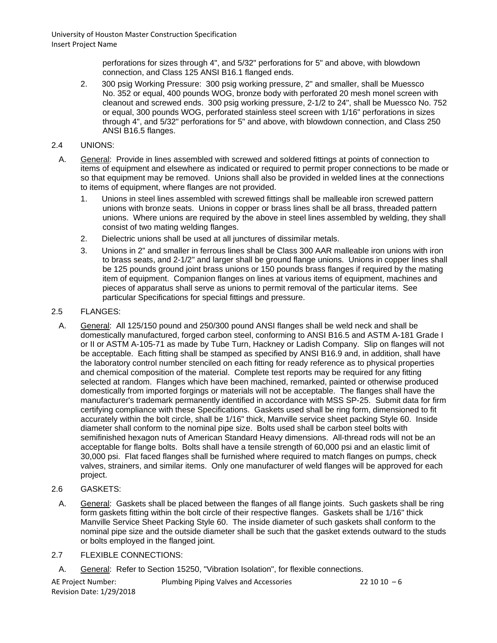> perforations for sizes through 4", and 5/32" perforations for 5" and above, with blowdown connection, and Class 125 ANSI B16.1 flanged ends.

- 2. 300 psig Working Pressure: 300 psig working pressure, 2" and smaller, shall be Muessco No. 352 or equal, 400 pounds WOG, bronze body with perforated 20 mesh monel screen with cleanout and screwed ends. 300 psig working pressure, 2-1/2 to 24", shall be Muessco No. 752 or equal, 300 pounds WOG, perforated stainless steel screen with 1/16" perforations in sizes through 4", and 5/32" perforations for 5" and above, with blowdown connection, and Class 250 ANSI B16.5 flanges.
- 2.4 UNIONS:
- A. General: Provide in lines assembled with screwed and soldered fittings at points of connection to items of equipment and elsewhere as indicated or required to permit proper connections to be made or so that equipment may be removed. Unions shall also be provided in welded lines at the connections to items of equipment, where flanges are not provided.
	- 1. Unions in steel lines assembled with screwed fittings shall be malleable iron screwed pattern unions with bronze seats. Unions in copper or brass lines shall be all brass, threaded pattern unions. Where unions are required by the above in steel lines assembled by welding, they shall consist of two mating welding flanges.
	- 2. Dielectric unions shall be used at all junctures of dissimilar metals.
	- 3. Unions in 2" and smaller in ferrous lines shall be Class 300 AAR malleable iron unions with iron to brass seats, and 2-1/2" and larger shall be ground flange unions. Unions in copper lines shall be 125 pounds ground joint brass unions or 150 pounds brass flanges if required by the mating item of equipment. Companion flanges on lines at various items of equipment, machines and pieces of apparatus shall serve as unions to permit removal of the particular items. See particular Specifications for special fittings and pressure.

## 2.5 FLANGES:

- A. General: All 125/150 pound and 250/300 pound ANSI flanges shall be weld neck and shall be domestically manufactured, forged carbon steel, conforming to ANSI B16.5 and ASTM A-181 Grade I or II or ASTM A-105-71 as made by Tube Turn, Hackney or Ladish Company. Slip on flanges will not be acceptable. Each fitting shall be stamped as specified by ANSI B16.9 and, in addition, shall have the laboratory control number stenciled on each fitting for ready reference as to physical properties and chemical composition of the material. Complete test reports may be required for any fitting selected at random. Flanges which have been machined, remarked, painted or otherwise produced domestically from imported forgings or materials will not be acceptable. The flanges shall have the manufacturer's trademark permanently identified in accordance with MSS SP-25. Submit data for firm certifying compliance with these Specifications. Gaskets used shall be ring form, dimensioned to fit accurately within the bolt circle, shall be 1/16" thick, Manville service sheet packing Style 60. Inside diameter shall conform to the nominal pipe size. Bolts used shall be carbon steel bolts with semifinished hexagon nuts of American Standard Heavy dimensions. All-thread rods will not be an acceptable for flange bolts. Bolts shall have a tensile strength of 60,000 psi and an elastic limit of 30,000 psi. Flat faced flanges shall be furnished where required to match flanges on pumps, check valves, strainers, and similar items. Only one manufacturer of weld flanges will be approved for each project.
- 2.6 GASKETS:
- A. General: Gaskets shall be placed between the flanges of all flange joints. Such gaskets shall be ring form gaskets fitting within the bolt circle of their respective flanges. Gaskets shall be 1/16" thick Manville Service Sheet Packing Style 60. The inside diameter of such gaskets shall conform to the nominal pipe size and the outside diameter shall be such that the gasket extends outward to the studs or bolts employed in the flanged joint.

### 2.7 FLEXIBLE CONNECTIONS:

A. General: Refer to Section 15250, "Vibration Isolation", for flexible connections.

AE Project Number: Plumbing Piping Valves and Accessories 22 10 10 – 6 Revision Date: 1/29/2018